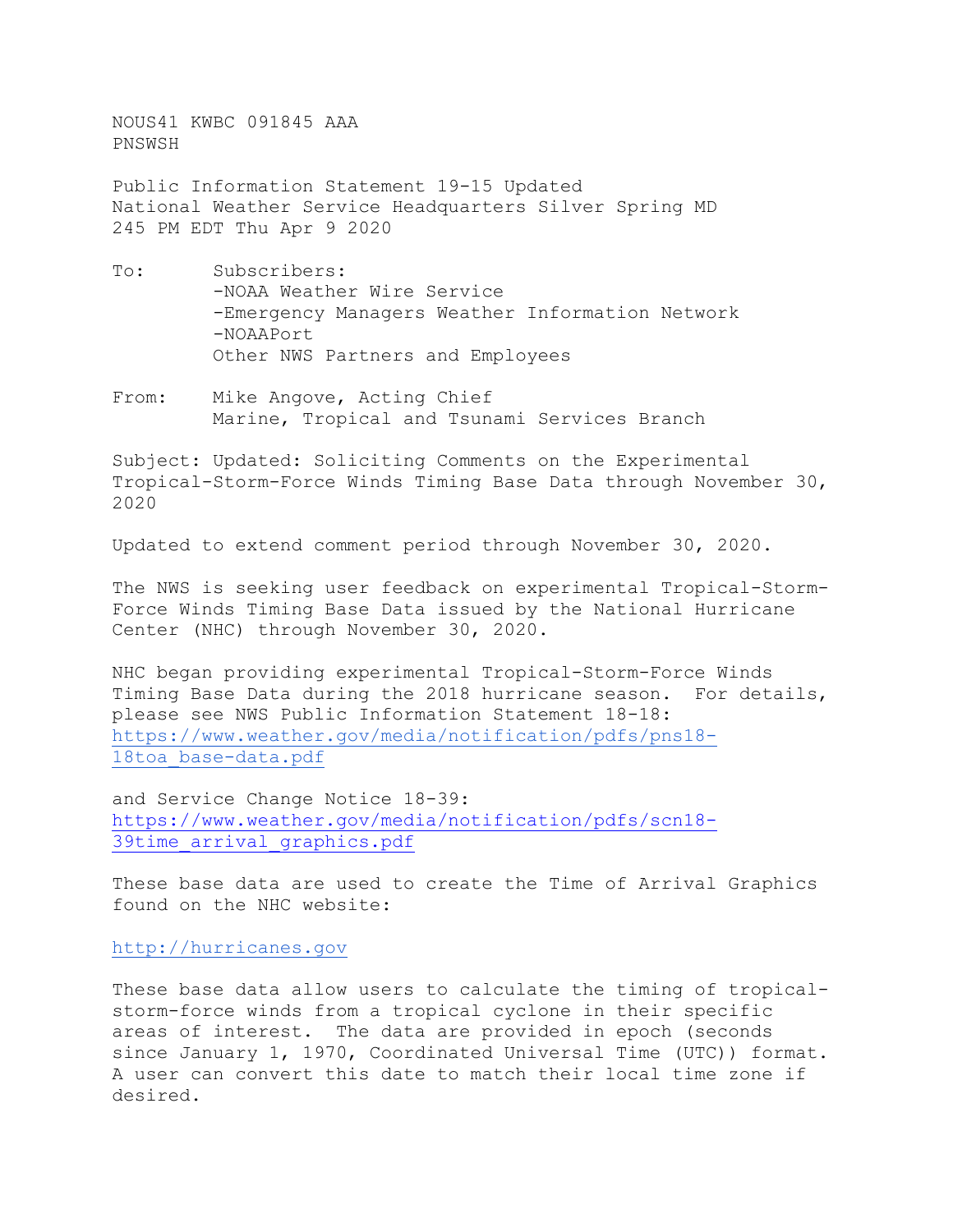NOUS41 KWBC 091845 AAA PNSWSH

Public Information Statement 19-15 Updated National Weather Service Headquarters Silver Spring MD 245 PM EDT Thu Apr 9 2020

- To: Subscribers: -NOAA Weather Wire Service -Emergency Managers Weather Information Network -NOAAPort Other NWS Partners and Employees
- From: Mike Angove, Acting Chief Marine, Tropical and Tsunami Services Branch

Subject: Updated: Soliciting Comments on the Experimental Tropical-Storm-Force Winds Timing Base Data through November 30, 2020

Updated to extend comment period through November 30, 2020.

The NWS is seeking user feedback on experimental Tropical-Storm-Force Winds Timing Base Data issued by the National Hurricane Center (NHC) through November 30, 2020.

NHC began providing experimental Tropical-Storm-Force Winds Timing Base Data during the 2018 hurricane season. For details, please see NWS Public Information Statement 18-18: [https://www.weather.gov/media/notification/pdfs/pns18-](https://www.weather.gov/media/notification/pdfs/pns18-18toa_base-data.pdf) [18toa\\_base-data.pdf](https://www.weather.gov/media/notification/pdfs/pns18-18toa_base-data.pdf)

and Service Change Notice 18-39: [https://www.weather.gov/media/notification/pdfs/scn18-](https://www.weather.gov/media/notification/pdfs/scn18-39time_arrival_graphics.pdf) [39time\\_arrival\\_graphics.pdf](https://www.weather.gov/media/notification/pdfs/scn18-39time_arrival_graphics.pdf)

These base data are used to create the Time of Arrival Graphics found on the NHC website:

[http://hurricanes.gov](http://hurricanes.gov/)

These base data allow users to calculate the timing of tropicalstorm-force winds from a tropical cyclone in their specific areas of interest. The data are provided in epoch (seconds since January 1, 1970, Coordinated Universal Time (UTC)) format. A user can convert this date to match their local time zone if desired.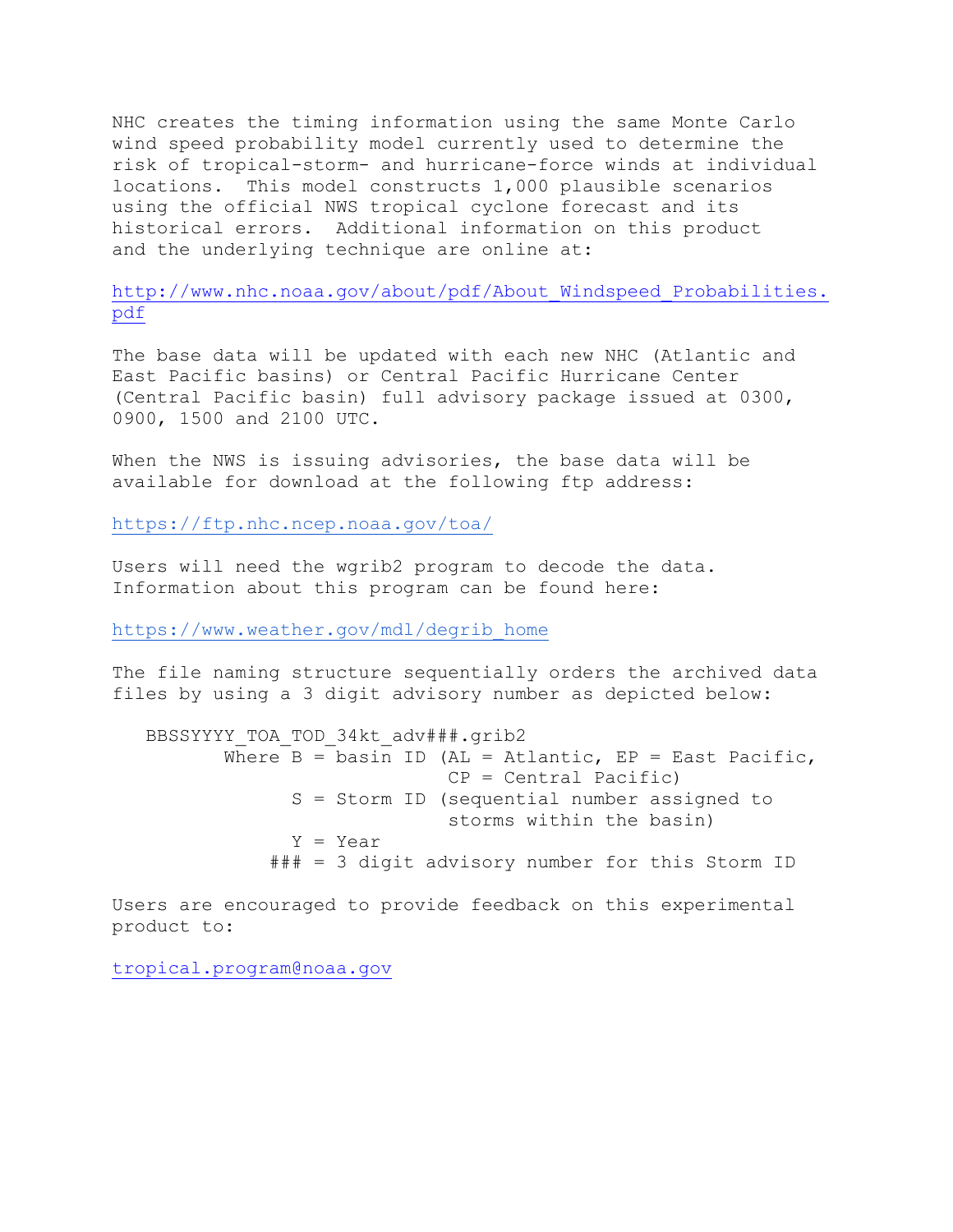NHC creates the timing information using the same Monte Carlo wind speed probability model currently used to determine the risk of tropical-storm- and hurricane-force winds at individual locations. This model constructs 1,000 plausible scenarios using the official NWS tropical cyclone forecast and its historical errors. Additional information on this product and the underlying technique are online at:

http://www.nhc.noaa.gov/about/pdf/About Windspeed Probabilities. [pdf](http://www.nhc.noaa.gov/about/pdf/About_Windspeed_Probabilities.pdf)

The base data will be updated with each new NHC (Atlantic and East Pacific basins) or Central Pacific Hurricane Center (Central Pacific basin) full advisory package issued at 0300, 0900, 1500 and 2100 UTC.

When the NWS is issuing advisories, the base data will be available for download at the following ftp address:

<https://ftp.nhc.ncep.noaa.gov/toa/>

Users will need the wgrib2 program to decode the data. Information about this program can be found here:

[https://www.weather.gov/mdl/degrib\\_home](https://www.weather.gov/mdl/degrib_home)

The file naming structure sequentially orders the archived data files by using a 3 digit advisory number as depicted below:

BBSSYYYY\_TOA\_TOD\_34kt\_adv###.grib2 Where  $B =$  basin ID (AL = Atlantic, EP = East Pacific, CP = Central Pacific) S = Storm ID (sequential number assigned to storms within the basin) Y = Year ### = 3 digit advisory number for this Storm ID

Users are encouraged to provide feedback on this experimental product to:

[tropical.program@noaa.gov](mailto:tropical.program@noaa.gov)